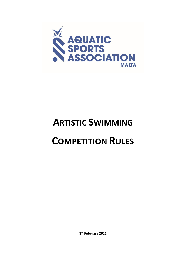

# **ARTISTIC SWIMMING**

# **COMPETITION RULES**

**8 th February 2021**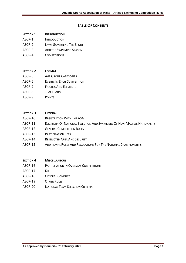# **TABLE OF CONTENTS**

## **SECTION 1 INTRODUCTION**

- ASCR-1 INTRODUCTION
- ASCR-2 LAWS GOVERNING THE SPORT
- ASCR-3 ARTISTIC SWIMMING SEASON
- ASCR-4 COMPETITIONS

#### **SECTION 2 FORMAT**

- ASCR-5 AGE GROUP CATEGORIES
- ASCR-6 EVENTS IN EACH COMPETITION
- ASCR-7 FIGURES AND ELEMENTS
- ASCR-8 TIME LIMITS
- ASCR-9 POINTS

#### **SECTION 3 GENERAL**

- ASCR-10 REGISTRATION WITH THE ASA
- ASCR-11 ELIGIBILITY OF NATIONAL SELECTION AND SWIMMERS OF NON-MALTESE NATIONALITY
- ASCR-12 GENERAL COMPETITION RULES
- ASCR-13 PARTICIPATION FEES
- ASCR-14 RESTRICTED AREA AND SECURITY
- ASCR-15 ADDITIONAL RULES AND REGULATIONS FOR THE NATIONAL CHAMPIONSHIPS

#### **SECTION 4 MISCELLANEOUS**

- ASCR-16 PARTICIPATION IN OVERSEAS COMPETITIONS
- ASCR-17 KIT
- ASCR-18 GENERAL CONDUCT
- ASCR-19 OTHER RULES
- ASCR-20 NATIONAL TEAM SELECTION CRITERIA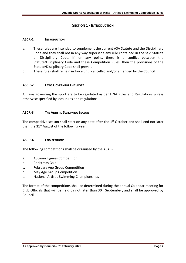# **SECTION 1 - INTRODUCTION**

#### **ASCR-1 INTRODUCTION**

- a. These rules are intended to supplement the current ASA Statute and the Disciplinary Code and they shall not in any way supersede any rule contained in the said Statute or Disciplinary Code. If, on any point, there is a conflict between the Statute/Disciplinary Code and these Competition Rules, then the provisions of the Statute/Disciplinary Code shall prevail.
- b. These rules shall remain in force until cancelled and/or amended by the Council.

#### **ASCR-2 LAWS GOVERNING THE SPORT**

All laws governing the sport are to be regulated as per FINA Rules and Regulations unless otherwise specified by local rules and regulations.

#### **ASCR-3 THE ARTISTIC SWIMMING SEASON**

The competitive season shall start on any date after the  $1<sup>st</sup>$  October and shall end not later than the  $31<sup>st</sup>$  August of the following year.

#### **ASCR-4 COMPETITIONS**

The following competitions shall be organised by the ASA: -

- a. Autumn Figures Competition
- b. Christmas Gala
- c. February Age Group Competition
- d. May Age Group Competition
- e. National Artistic Swimming Championships

The format of the competitions shall be determined during the annual Calendar meeting for Club Officials that will be held by not later than  $30<sup>th</sup>$  September, and shall be approved by Council.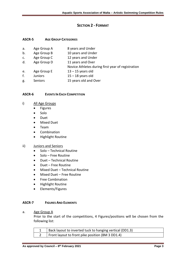# **SECTION 2 - FORMAT**

#### **ASCR-5 AGE GROUP CATEGORIES**

| a.            | Age Group A    | 8 years and Under                                 |
|---------------|----------------|---------------------------------------------------|
| b.            | Age Group B    | 10 years and Under                                |
| $C_{\bullet}$ | Age Group C    | 12 years and Under                                |
| d.            | Age Group D    | 11 years and Over                                 |
|               |                | Novice Athletes during first year of registration |
| e.            | Age Group E    | $13 - 15$ years old                               |
| f.            | <b>Juniors</b> | $15 - 18$ years old                               |
| g.            | <b>Seniors</b> | 15 years old and Over                             |

#### **ASCR-6 EVENTS IN EACH COMPETITION**

#### i) All Age Groups

- Figures
- Solo
- Duet
- Mixed Duet
- Team
- Combination
- Highlight Routine

## ii) Juniors and Seniors

- Solo Technical Routine
- Solo Free Routine
- Duet Technical Routine
- Duet Free Routine
- Mixed Duet Technical Routine
- Mixed Duet Free Routine
- Free Combination
- Highlight Routine
- Elements/Figures

#### **ASCR-7 FIGURES AND ELEMENTS**

#### a. Age Group A

Prior to the start of the competitions, 4 Figures/positions will be chosen from the following list:

| Back layout to inverted tuck to hanging vertical (DD1.3) |
|----------------------------------------------------------|
| Front layout to front pike position (BM 3 DD1.4)         |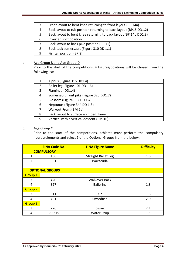| 3  | Front layout to bent knee returning to front layout (BP 14a)      |
|----|-------------------------------------------------------------------|
| 4  | Back layout to tub position returning to back layout (BP15 DD1.2) |
| 5. | Back layout to bent knee returning to back layout (BP 14b DD1.3)  |
| 6  | Inverted split position                                           |
|    | Back layout to back pike position (BP 11)                         |
| 8  | Back tuck somersault (Figure 310 DD 1.1)                          |
| 9  | Fishtail position (BP 8)                                          |

#### b. Age Group B and Age Group D

Prior to the start of the competitions, 4 Figures/positions will be chosen from the following list:

|    | Kipnus (Figure 316 DD1.4)                |
|----|------------------------------------------|
| 2  | Ballet leg (Figure 101 DD 1.6)           |
| 3  | Flamingo (DD1.4)                         |
| 4  | Somersault front pike (Figure 320 DD1.7) |
| 5. | Blossom (Figure 302 DD 1.4)              |
| 6  | Neptunus (Figure 344 DD 1.8)             |
| 7  | Walkout Front (BM 6a)                    |
| 8  | Back layout to surface arch bent knee    |
| 9  | Vertical with a vertical descent (BM 10) |

# c. Age Group C

Prior to the start of the competitions, athletes must perform the compulsory figures/elements and select 1 of the Optional Groups from the below:-

|                        | <b>FINA Code No</b> | <b>FINA Figure Name</b>    | <b>Difficulty</b> |
|------------------------|---------------------|----------------------------|-------------------|
| <b>COMPULSORY</b>      |                     |                            |                   |
| 1                      | 106                 | <b>Straight Ballet Leg</b> | 1.6               |
| $\overline{2}$         | 301                 | Barracuda                  | 1.9               |
|                        |                     |                            |                   |
| <b>OPTIONAL GROUPS</b> |                     |                            |                   |
| <b>Group 1</b>         |                     |                            |                   |
| 3                      | 420                 | <b>Walkover Back</b>       | 1.9               |
| 4                      | 327                 | <b>Ballerina</b>           | 1.8               |
| <b>Group 2</b>         |                     |                            |                   |
| 3                      | 311                 | Kip                        | 1.6               |
| 4                      | 401                 | Swordfish                  | 2.0               |
| Group <sub>3</sub>     |                     |                            |                   |
| 3                      | 226                 | Swan                       | 2.1               |
| 4                      | 363315              | <b>Water Drop</b>          | 1.5               |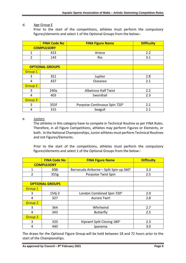#### d. Age Group E

Prior to the start of the competitions, athletes must perform the compulsory figures/elements and select 1 of the Optional Groups from the below:-

|                        | <b>FINA Code No</b> | <b>FINA Figure Name</b>       | <b>Difficulty</b> |
|------------------------|---------------------|-------------------------------|-------------------|
| <b>COMPULSORY</b>      |                     |                               |                   |
| $\mathbf{1}$           | 423                 | Ariana                        | 2.2               |
| $\overline{2}$         | 143                 | Rio                           | 3.1               |
|                        |                     |                               |                   |
| <b>OPTIONAL GROUPS</b> |                     |                               |                   |
| <b>Group 1</b>         |                     |                               |                   |
| 3                      | 351                 | Jupiter                       | 2.8               |
| 4                      | 437                 | Oceanea                       | 2.1               |
| <b>Group 2</b>         |                     |                               |                   |
| 3                      | 240a                | <b>Albatross Half Twist</b>   | 2.2               |
| 4                      | 403                 | Swordtail                     | 2.3               |
| Group 3                |                     |                               |                   |
| 3                      | 355f                | Porpoise Continuous Spin 720° | 2.1               |
| 4                      | 315                 | Seagull                       | 2.1               |

#### e. Juniors

The athletes in this category have to compete in Technical Routine as per FINA Rules. Therefore, in all Figure Competitions, athletes may perform Figures or Elements, or both. In the National Championships, Junior athletes must perform Technical Routines and not Figures/Elements.

Prior to the start of the competitions, athletes must perform the compulsory figures/elements and select 1 of the Optional Groups from the below:-

|                        | <b>FINA Code No</b> | <b>FINA Figure Name</b>                 | <b>Difficulty</b> |
|------------------------|---------------------|-----------------------------------------|-------------------|
| <b>COMPULSORY</b>      |                     |                                         |                   |
| 1                      | 308i                | Barracuda Airborne – Split Spin up 360° | 3.3               |
| 2                      | 355g                | Porpoise Twist Spin                     | 2.5               |
|                        |                     |                                         |                   |
| <b>OPTIONAL GROUPS</b> |                     |                                         |                   |
| Group 1                |                     |                                         |                   |
| 3                      | $154j-2$            | London Combined Spin 720°               | 2.9               |
| 4                      | 327                 | Aurora Twirl                            | 2.8               |
| <b>Group 2</b>         |                     |                                         |                   |
| 3                      | 364                 | Whirlwind                               | 2.7               |
| 4                      | 343                 | <b>Butterfly</b>                        | 2.5               |
| Group 3                |                     |                                         |                   |
| 3                      | 320                 | Kipswirl Split Closing 180°             | 2.3               |
| 4                      | 440                 | Ipanema                                 | 3.0               |

The draws for the Optional Figure Group will be held between 18 and 72 hours prior to the start of the Championships.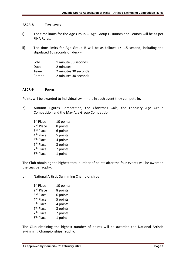#### **ASCR-8 TIME LIMITS**

- i) The time limits for the Age Group C, Age Group E, Juniors and Seniors will be as per FINA Rules.
- ii) The time limits for Age Group B will be as follows +/- 15 second, including the stipulated 10 seconds on deck:-

| Solo  | 1 minute 30 seconds  |
|-------|----------------------|
| Duet  | 2 minutes            |
| Team  | 2 minutes 30 seconds |
| Combo | 2 minutes 30 seconds |

#### **ASCR-9 POINTS**

Points will be awarded to individual swimmers in each event they compete in.

- a) Autumn Figures Competition, the Christmas Gala, the February Age Group Competition and the May Age Group Competition
	- 1<sup>st</sup> Place 10 points 2<sup>nd</sup> Place 8 points 3rd Place 6 points 4<sup>th</sup> Place 5 points 5<sup>th</sup> Place 4 points 6<sup>th</sup> Place 3 points 7<sup>th</sup> Place 2 points 8<sup>th</sup> Place 1 point

The Club obtaining the highest total number of points after the four events will be awarded the League Trophy.

b) National Artistic Swimming Championships

| 1 <sup>st</sup> Place | 10 points |
|-----------------------|-----------|
| 2 <sup>nd</sup> Place | 8 points  |
| 3rd Place             | 6 points  |
| 4 <sup>th</sup> Place | 5 points  |
| 5 <sup>th</sup> Place | 4 points  |
| 6 <sup>th</sup> Place | 3 points  |
| 7 <sup>th</sup> Place | 2 points  |
| 8 <sup>th</sup> Place | 1 point   |

The Club obtaining the highest number of points will be awarded the National Artistic Swimming Championships Trophy.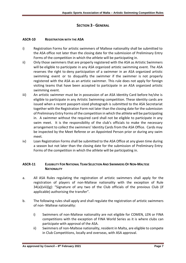# **SECTION 3 - GENERAL**

## **ASCR-10 REGISTRATION WITH THE ASA**

- i) Registration Forms for artistic swimmers of Maltese nationality shall be submitted to the ASA office not later than the closing date for the submission of Preliminary Entry Forms of the competition in which the athlete will be participating in.
- ii) Only those swimmers that are properly registered with the ASA as Artistic Swimmers will be eligible to participate in any ASA organized artistic swimming event. The ASA reserves the right to deny participation of a swimmer in an ASA organized artistic swimming event or to disqualify the swimmer if the swimmer is not properly registered with the ASA as an artistic swimmer. This rule does not apply for foreign visiting teams that have been accepted to participate in an ASA organized artistic swimming event.
- iii) An artistic swimmer must be in possession of an ASA Identity Card before he/she is eligible to participate in any Artistic Swimming competition. These identity cards are issued when a recent passport-sized photograph is submitted to the ASA Secretariat together with the Registration Form not later than the closing date for the submission of Preliminary Entry Forms of the competition in which the athlete will be participating in. A swimmer without the required card shall not be eligible to participate in any swim meet. It is the responsibility of the club's officials to make the necessary arrangement to collect the swimmers' Identity Cards from the ASA Office. Cards may be inspected by the Meet Referee or an Appointed Person prior or during any swim meet*.*
- iv) Loan Registration Forms shall be submitted to the ASA Office at any given time during a season but not later than the closing date for the submission of Preliminary Entry Forms of the competition in which the athlete will be participating in.

# **ASCR-11 ELIGIBILITY FOR NATIONAL TEAM SELECTION AND SWIMMERS OF NON-MALTESE NATIONALITY**

- a. All ASA Rules regulating the registration of artistic swimmers shall apply for the registration of players of non-Maltese nationality with the exception of Rule 34(a)(viii)(g): "Signature of any two of the Club officials of the previous Club (if applicable) authorising the transfer".
- b. The following rules shall apply and shall regulate the registration of artistic swimmers of non- Maltese nationality:
	- i) Swimmers of non-Maltese nationality are not eligible for COMEN, LEN or FINA competitions with the exception of FINA World Series as it is where clubs can participate with approval of the ASA.
	- ii) Swimmers of non-Maltese nationality, resident in Malta, are eligible to compete in Club Competitions, locally and overseas, with ASA approval.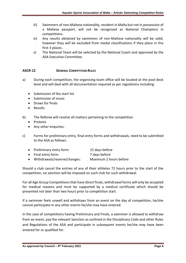- iii) Swimmers of non-Maltese nationality, resident in Malta but not in possession of a Maltese passport, will not be recognised as National Champions in competitions.
- iv) Any results obtained by swimmers of non-Maltese nationality will be valid, however they will be excluded from medal classifications if they place in the first 3 places.
- v) The National Team will be selected by the National Coach and approved by the ASA Executive Committee.

## **ASCR-12 GENERAL COMPETITION RULES**

- a) During each competition, the organising team office will be located at the pool deck level and will deal with all documentation required as per regulations including:
	- Submission of the start list
	- Submission of music
	- Draws for finals
	- Results
- b) The Referee will resolve all matters pertaining to the competition
	- Protests
	- Any other enquiries.
- c) Forms for preliminary entry, final entry forms and withdrawals, need to be submitted to the ASA as follows:
	- Preliminary entry form: 15 days before
	- Final entry form: 7 days before
	- Withdrawals/reserve/changes: Maximum 2 hours before

Should a club cancel the entries of any of their athletes 72 hours prior to the start of the competition, no sanction will be imposed on such club for such withdrawal.

For all Age Group Competitions that have direct finals, withdrawal forms will only be accepted for medical reasons and must be supported by a medical certificate which should be presented not later than two hours prior to competition start.

If a swimmer feels unwell and withdraws from an event on the day of competition, he/she cannot participate in any other events he/she may have entered.

In the case of competitions having Preliminary and Finals, a swimmer is allowed to withdraw from an event, pay the relevant Sanction as outlined in the Disciplinary Code and other Rules and Regulations of the ASA and participate in subsequent events he/she may have been entered for or qualified for.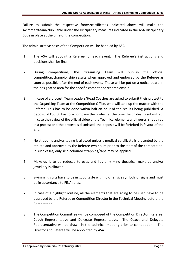Failure to submit the respective forms/certificates indicated above will make the swimmer/team/club liable under the Disciplinary measures indicated in the ASA Disciplinary Code in place at the time of the competition.

The administrative costs of the Competition will be handled by ASA.

- 1. The ASA will appoint a Referee for each event. The Referee's instructions and decisions shall be final.
- 2. During competitions, the Organising Team will publish the official competition/championship results when approved and endorsed by the Referee as soon as possible after the end of each event. These will be put on a notice board in the designated area for the specific competition/championship.
- 3. In case of a protest, Team Leaders/Head Coaches are asked to submit their protest to the Organising Team at the Competition Office, who will take up the matter with the Referee. This has to be done within half an hour of the results being published. A deposit of €50.00 has to accompany the protest at the time the protest is submitted. In case the review of the official video of the Technical elements and figures is required in a protest and the protest is dismissed, the deposit will be forfeited in favour of the ASA.
- 4. No strapping and/or taping is allowed unless a medical certificate is presented by the athlete and approved by the Referee two hours prior to the start of the competition. In such cases, only skin-coloured strapping/tape may be applied
- 5. Make-up is to be reduced to eyes and lips only no theatrical make-up and/or jewellery is allowed.
- 6. Swimming suits have to be in good taste with no offensive symbols or signs and must be in accordance to FINA rules.
- 7. In case of a highlight routine, all the elements that are going to be used have to be approved by the Referee or Competition Director in the Technical Meeting before the Competition.
- 8. The Competition Committee will be composed of the Competition Director, Referee, Coach Representative and Delegate Representative. The Coach and Delegate Representative will be drawn in the technical meeting prior to competition. The Director and Referee will be appointed by ASA.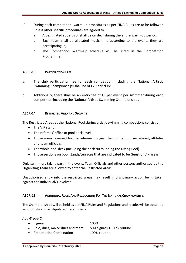- 9. During each competition, warm-up procedures as per FINA Rules are to be followed unless other specific procedures are agreed to.
	- a. A designated supervisor shall be on deck during the entire warm-up period;
	- b. Each team shall be allocated music time according to the events they are participating in;
	- c. The Competition Warm-Up schedule will be listed in the Competition Programme.

#### **ASCR-13 PARTICIPATION FEES**

- a. The club participation fee for each competition including the National Artistic Swimming Championships shall be of €20 per club;
- b. Additionally, there shall be an entry fee of  $E1$  per event per swimmer during each competition including the National Artistic Swimming Championships

#### **ASCR-14 RESTRICTED AREA AND SECURITY**

The Restricted Areas at the National Pool during artistic swimming competitions consist of

- The VIP stand;
- The referees' office at pool deck level.
- Those areas reserved for the referees, judges, the competition secretariat, athletes and team officials.
- The whole pool deck (including the deck surrounding the Diving Pool)
- Those sections on pool stands/terraces that are indicated to be Guest or VIP areas.

Only swimmers taking part in the event, Team Officials and other persons authorised by the Organising Team are allowed to enter the Restricted Areas.

Unauthorised entry into the restricted areas may result in disciplinary action being taken against the individual/s involved.

#### **ASCR-15 ADDITIONAL RULES AND REGULATIONS FOR THE NATIONAL CHAMPIONSHIPS**

The Championships will be held as per FINA Rules and Regulations and results will be obtained accordingly and as stipulated hereunder:-

*Age Group C:*

• Figures 100%

- Solo, duet, mixed duet and team 50% figures + 50% routine
- Free routine Combination 100% routine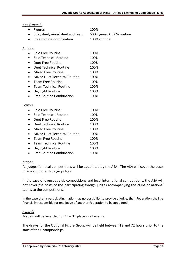### *Age Group E:*

|                 | Age Group E:                        |                           |
|-----------------|-------------------------------------|---------------------------|
|                 | <b>Figures</b>                      | 100%                      |
|                 | Solo, duet, mixed duet and team     | 50% figures + 50% routine |
|                 | Free routine Combination            | 100% routine              |
|                 |                                     |                           |
| <u>Juniors:</u> |                                     |                           |
| $\bullet$       | Solo Free Routine                   | 100%                      |
|                 | Solo Technical Routine              | 100%                      |
| $\bullet$       | Duet Free Routine                   | 100%                      |
|                 | <b>Duet Technical Routine</b>       | 100%                      |
|                 | Mixed Free Routine                  | 100%                      |
|                 | <b>Mixed Duet Technical Routine</b> | 100%                      |
|                 | <b>Team Free Routine</b>            | 100%                      |
| $\bullet$       | <b>Team Technical Routine</b>       | 100%                      |
|                 | <b>Highlight Routine</b>            | 100%                      |
|                 | <b>Free Routine Combination</b>     | 100%                      |
| Seniors:        |                                     |                           |
| $\bullet$       | Solo Free Routine                   | 100%                      |
|                 | Solo Technical Routine              | 100%                      |
|                 | Duet Free Routine                   | 100%                      |
|                 | <b>Duet Technical Routine</b>       | 100%                      |
| ٠               | Mixed Free Routine                  | 100%                      |
|                 | Mixed Duet Technical Routine        | 100%                      |
|                 |                                     |                           |

- Team Free Routine 100%
- Team Technical Routine 100% • Highlight Routine 100%
- Free Routine Combination 100%

# *Judges*

All judges for local competitions will be appointed by the ASA. The ASA will cover the costs of any appointed foreign judges.

In the case of overseas club competitions and local international competitions, the ASA will not cover the costs of the participating foreign judges accompanying the clubs or national teams to the competitions.

In the case that a participating nation has no possibility to provide a judge, their Federation shall be financially responsible for one judge of another Federation to be appointed.

#### *Awards*

Medals will be awarded for  $1<sup>st</sup> - 3<sup>rd</sup>$  place in all events.

The draws for the Optional Figure Group will be held between 18 and 72 hours prior to the start of the Championships.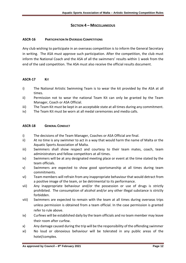## **SECTION 4 – MISCELLANEOUS**

#### **ASCR-16 PARTICIPATION IN OVERSEAS COMPETITIONS**

Any club wishing to participate in an overseas competition is to inform the General Secretary in writing. The ASA must approve such participation. After the competition, the club must inform the National Coach and the ASA of all the swimmers' results within 1 week from the end of the said competition. The ASA must also receive the official results document.

## **ASCR-17 KIT**

- i) The National Artistic Swimming Team is to wear the kit provided by the ASA at all times.
- ii) Permission not to wear the national Team Kit can only be granted by the Team Manager, Coach or ASA Official.
- iii) The Team Kit must be kept in an acceptable state at all times during any commitment.
- iv) The Team Kit must be worn at all medal ceremonies and media calls.

#### **ASCR-18 GENERAL CONDUCT**

- i) The decisions of the Team Manager, Coaches or ASA Official are final.
- ii) At no time is any swimmer to act in a way that would harm the name of Malta or the Aquatic Sports Association of Malta.
- iii) Swimmers shall show respect and courtesy to their team mates, coach, team administrators and fellow competitors at all times.
- iv) Swimmers will be at any designated meeting place or event at the time stated by the team officials.
- v) Swimmers are expected to show good sportsmanship at all times during team commitments.
- vi) Team members will refrain from any inappropriate behaviour that would detract from a positive image of the team, or be detrimental to its performance.
- vii) Any inappropriate behaviour and/or the possession or use of drugs is strictly prohibited. The consumption of alcohol and/or any other illegal substance is strictly forbidden.
- viii) Swimmers are expected to remain with the team at all times during overseas trips unless permission is obtained from a team official. In the case permission is granted refer to rule above.
- ix) Curfews will be established daily by the team officials and no team member may leave their room after curfew.
- x) Any damage caused during the trip will be the responsibility of the offending swimmer
- xi) No loud or obnoxious behaviour will be tolerated in any public areas of the hotel/complex.